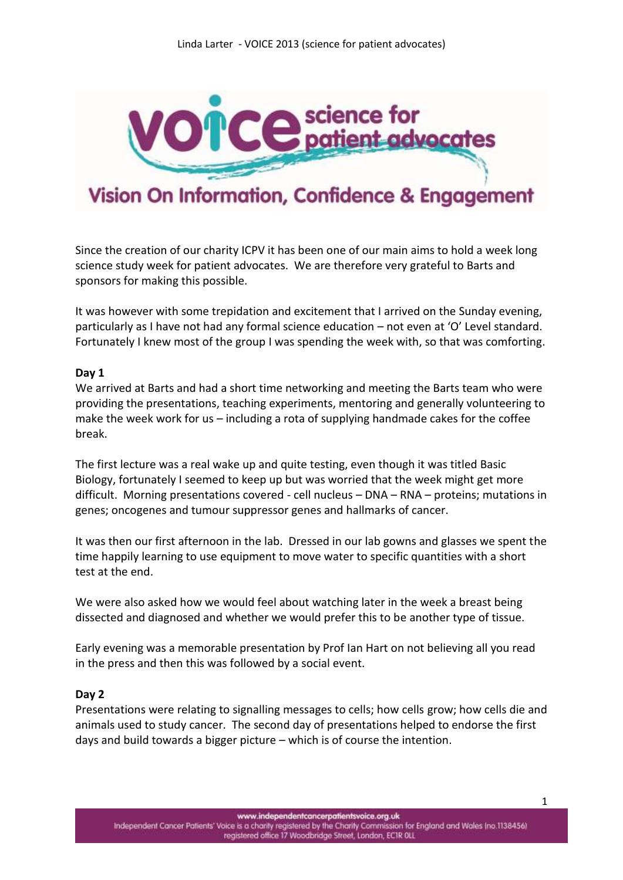

# Vision On Information, Confidence & Engagement

Since the creation of our charity ICPV it has been one of our main aims to hold a week long science study week for patient advocates. We are therefore very grateful to Barts and sponsors for making this possible.

It was however with some trepidation and excitement that I arrived on the Sunday evening, particularly as I have not had any formal science education – not even at 'O' Level standard. Fortunately I knew most of the group I was spending the week with, so that was comforting.

## **Day 1**

We arrived at Barts and had a short time networking and meeting the Barts team who were providing the presentations, teaching experiments, mentoring and generally volunteering to make the week work for us – including a rota of supplying handmade cakes for the coffee break.

The first lecture was a real wake up and quite testing, even though it was titled Basic Biology, fortunately I seemed to keep up but was worried that the week might get more difficult. Morning presentations covered - cell nucleus – DNA – RNA – proteins; mutations in genes; oncogenes and tumour suppressor genes and hallmarks of cancer.

It was then our first afternoon in the lab. Dressed in our lab gowns and glasses we spent the time happily learning to use equipment to move water to specific quantities with a short test at the end.

We were also asked how we would feel about watching later in the week a breast being dissected and diagnosed and whether we would prefer this to be another type of tissue.

Early evening was a memorable presentation by Prof Ian Hart on not believing all you read in the press and then this was followed by a social event.

#### **Day 2**

Presentations were relating to signalling messages to cells; how cells grow; how cells die and animals used to study cancer. The second day of presentations helped to endorse the first days and build towards a bigger picture – which is of course the intention.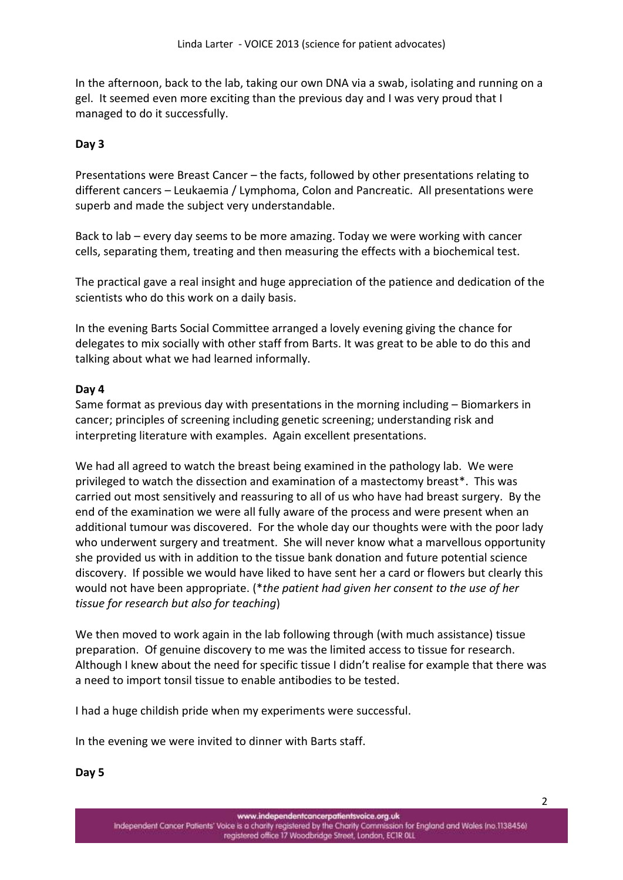In the afternoon, back to the lab, taking our own DNA via a swab, isolating and running on a gel. It seemed even more exciting than the previous day and I was very proud that I managed to do it successfully.

## **Day 3**

Presentations were Breast Cancer – the facts, followed by other presentations relating to different cancers – Leukaemia / Lymphoma, Colon and Pancreatic. All presentations were superb and made the subject very understandable.

Back to lab – every day seems to be more amazing. Today we were working with cancer cells, separating them, treating and then measuring the effects with a biochemical test.

The practical gave a real insight and huge appreciation of the patience and dedication of the scientists who do this work on a daily basis.

In the evening Barts Social Committee arranged a lovely evening giving the chance for delegates to mix socially with other staff from Barts. It was great to be able to do this and talking about what we had learned informally.

## **Day 4**

Same format as previous day with presentations in the morning including – Biomarkers in cancer; principles of screening including genetic screening; understanding risk and interpreting literature with examples. Again excellent presentations.

We had all agreed to watch the breast being examined in the pathology lab. We were privileged to watch the dissection and examination of a mastectomy breast\*. This was carried out most sensitively and reassuring to all of us who have had breast surgery. By the end of the examination we were all fully aware of the process and were present when an additional tumour was discovered. For the whole day our thoughts were with the poor lady who underwent surgery and treatment. She will never know what a marvellous opportunity she provided us with in addition to the tissue bank donation and future potential science discovery. If possible we would have liked to have sent her a card or flowers but clearly this would not have been appropriate. (\**the patient had given her consent to the use of her tissue for research but also for teaching*)

We then moved to work again in the lab following through (with much assistance) tissue preparation. Of genuine discovery to me was the limited access to tissue for research. Although I knew about the need for specific tissue I didn't realise for example that there was a need to import tonsil tissue to enable antibodies to be tested.

I had a huge childish pride when my experiments were successful.

In the evening we were invited to dinner with Barts staff.

**Day 5**